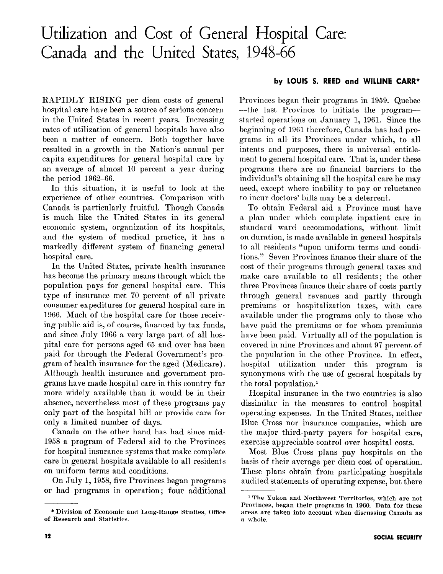# Utilization and Cost of General Hospital Care: Canada and the United States, 1948-66

RAPIDLY RISING per diem costs of general hospital care have been a source of serious concern in the United States in recent years. Increasing rates of utilization of general hospitals have also been a matter of concern. Both together have resulted in a growth in the Nation's annual per capita expenditures for general hospital care by an average of almost 10 percent a year during the period 1962-66.

In this situation, it is useful to look at the experience of other countries. Comparison with Canada is particularly fruitful. Though Canada is much like the United States in its general economic system, organization of its hospitals, and the system of medical practice, it has a markedly different system of financing general hospital care.

In the United States, private health insurance has become the primary means through which the population pays for general hospital care. This type of insurance met 70 percent of all private consumer expeditures for general hospital care in 1966. Much of the hospital care for those receiving public aid is, of course, financed by tax funds, and since July 1966 a very large part of all hospital care for persons aged 65 and over has been paid for through the Federal Government's program of health insurance for the aged (Medicare). Although health insurance and government programs have made hospital care in this country far more widely available than it would be in their absence, nevertheless most of these programs pay only part of the hospital bill or provide care for only a limited number of days.

Canada on the other hand has had since mid-1958 a program of Federal aid to the Provinces for hospital insurance systems that make complete care in general hospitals available to all residents on uniform terms and conditions.

On July 1,1958, five Provinces began programs or had programs in operation; four additional

## by LOUIS S. REED and WILLINE CARR\*

Provinces began their programs in 1959. Quebec --the last Province to initiate the program-started operations on January 1, 1961. Since the beginning of 1961 therefore, Canada has had programs in all its Provinces under which, to all intents and purposes, there is universal entitlement to general hospital care. That is, under these programs there are no financial barriers to the individual's obtaining all the hospital care he may need, except where inability to pay or reluctance to incur doctors' bills may be a deterrent,.

To obtain Federal aid a Province must have a plan under which complete inpatient care in standard ward accommodations, without limit on duration, is made available in general hospitals to all residents "upon uniform terms and conditions." Seven Provinces finance their share of the cost of their programs through general taxes and make care available to all residents; the other three Provinces finance their share of costs partly through general revenues and partly through premiums or hospitalization taxes, with care available under the programs only to those who have paid the premiums or for whom premiums have been paid. Virtually all of the population is covered in nine Provinces and about 97 percent of the population in the other Province. In effect, hospital utilization under this program is synonymous with the use of general hospitals by the total population.'

Hospital insurance in the two countries is also dissimilar in the measures to control hospital operating expenses. In the United States, neither Blue Cross nor insurance companies, which are the major third-party payers for hospital care, exercise appreciable control over hospital costs.

Most Blue Cross plans pay hospitals on the basis of their average per diem cost of operation. These plans obtain from participating hospitals audited statements of operating expense, but there

<sup>\*</sup> Division of Economic and Long-Range Studies, Office of Research and Statistics.

<sup>1</sup> The Yukon and Northwest Territories, which are not Provinces, began their programs in 1960. Data for these areas are taken into account when discussing Canada as a whole.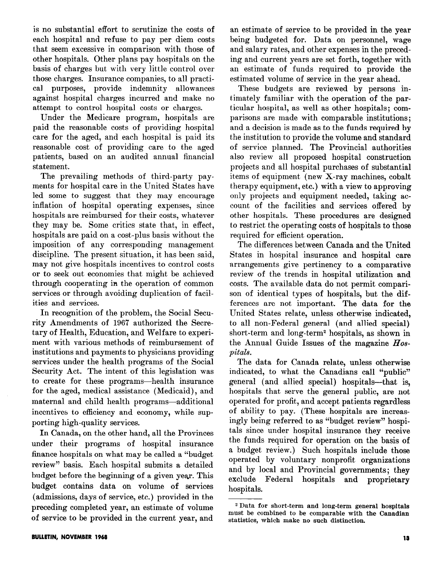is no substantial effort to scrutinize the costs of each hospital and refuse to pay per diem costs that seem excessive in comparison with those of other hospitals. Other plans pay hospitals on the basis of charges but with very little control over those charges. Insurance companies, to all practical purposes, provide indemnity allowances against hospital charges incurred and make no attempt to control hospital costs or charges.

Under the Medicare program, hospitals are paid the reasonable costs of providing hospital care for the aged, and each hospital is paid its reasonable cost of providing care to the aged patients, based on an audited annual financial statement.

The prevailing methods of third-party payments for hospital care in the United States have led some to suggest that they may encourage inflation of hospital operating expenses, since hospitals are reimbursed for their costs, whatever they may be. Some critics state that, in effect, hospitals are paid on a cost-plus basis without the imposition of any corresponding management discipline. The present situation, it has been said, may not give hospitals incentives to control costs or to seek out economies that might be achieved through cooperating in the operation of common services or through avoiding duplication of facilities and services.

In recognition of the problem, the Social Security Amendments of 1967 authorized the Secretary of Health, Education, and Welfare to experiment with various methods of reimbursement of institutions and payments to physicians providing services under the health programs of the Social Security Act. The intent of this legislation was to create for these programs-health insurance for the aged, medical assistance (Medicaid), and maternal and child health programs-additional incentives to efficiency and economy, while supporting high-quality services.

In Canada, on the other hand, all the Provinces under their programs of hospital insurance finance hospitals on what may be called a "budget review" basis. Each hospital submits a detailed budget before the beginning of a given year. This budget contains data on volume of services (admissions, days of service, etc.) provided in the preceding completed year, an estimate of volume of service to be provided in the current year, and

an estimate of service to be provided in the year being budgeted for. Data on personnel, wage and salary rates, and other expenses in the preceding and current years are set forth, together with an estimate of funds required to provide the estimated volume of service in the year ahead.

These budgets are reviewed by persons intimately familiar with the operation of the particular hospital, as well as other hospitals; comparisons are made with comparable institutions; and a decision is made as to the funds required by the institution to provide the volume and standard of service planned. The Provincial authorities also review all proposed hospital construction projects and all hospital purchases of substantial items of equipment (new X-ray machines, cobalt therapy equipment, etc.) with a view to approving only projects and equipment needed, taking account of the facilities and services offered by other hospitals. These procedures are designed to restrict the operating costs of hospitals to those required for efficient operation.

The differences between Canada and the United States in hospital insurance and hospital care arrangements give pertinency to a comparative review of the trends in hospital utilization and costs. The available data do not permit comparison of identical types of hospitals, but the differences are not important. The data for the United States relate, unless otherwise indicated, to all non-Federal general (and allied special) short-term and long-term2 hospitals, as shown in the Annual Guide Issues of the magazine  $Hos$ pitals.

The data for Canada relate, unless otherwise indicated, to what the Canadians call "public" general (and allied special) hospitals-that is, hospitals that serve the general public, are not operated for profit, and accept patients regardless of ability to pay. (These hospitals are increasingly being referred to as "budget review" hospitals since under hospital insurance they receive the funds required for operation on the basis of a budget review.) Such hospitals include those operated by voluntary nonprofit organizations and by local and Provincial governments; they exclude Federal hospitals and proprietary hospitals.

<sup>2</sup> Data for short-term and long-term general hospitals must be combined to be comparable with the Canadian statistics, which make no such distinction.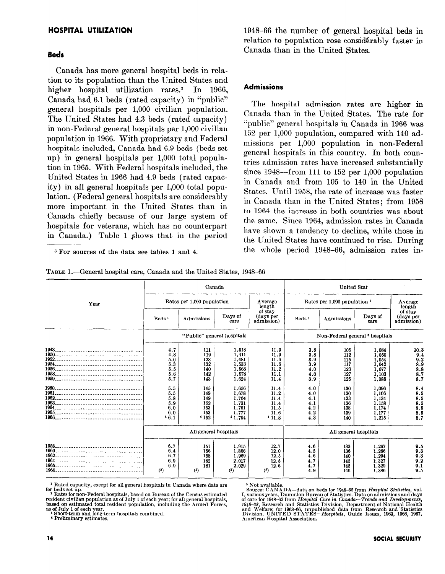## HOSPITAL UTILIZATION

#### Beds

Canada has more general hospital beds in relation to its population than the United States and higher hospital utilization rates.<sup>3</sup> In 1966, Canada had 6.1 beds (rated capacity) in "public" general hospitals per 1,000 civilian population. The United States had 4.3 beds (rated capacity) in non-Federal general hospitals per 1,000 civilian population in 1966. With proprietary and Federal hospitals included, Canada had 6.9 beds (beds set up) in general hospitals per 1,000 total population in 1965. With Federal hospitals included, the United States in 1966 had 4.9 beds (rated capacity) in all general hospitals per 1,000 total population. (Federal general hospitals are considerably more important in the United States than in Canada chiefly because of our large system of hospitals for veterans, which has no counterpart in Canada.) Table 1 Shows that in the period

3 For sources of the data see tables 1 and 4.

1948-66 the number of general hospital beds in relation to population rose considerably faster in Canada than in the United States.

#### Admissions

The hospital admission rates are higher in Canada than in the United States. The rate for "public" general hospitals in Canada in 1966 was 152 per 1,000 population, compared with 140 admissions per 1,000 population in non-Federal general hospitals in this country. In both countries admission rates have increased substantially since  $1948$ -from 111 to  $152$  per 1,000 population in Canada and from 105 to 140 in the United States. Until 1958, the rate of increase was faster in Canada than in the United States; from 1958 to 1964 the increase in both countries was about the same. Since 1964, admission rates in Canada have shown a tendency to decline, while those in the United States have continued to rise. During the whole period 1948-66, admission rates in-

|      |                                                                                                 |                                                                                                 | Canada                                                                                                                      |                                                                                                               | <b>United Stat</b>                                                                             |                                                                                                |                                                                                                                            |                                                                                                 |
|------|-------------------------------------------------------------------------------------------------|-------------------------------------------------------------------------------------------------|-----------------------------------------------------------------------------------------------------------------------------|---------------------------------------------------------------------------------------------------------------|------------------------------------------------------------------------------------------------|------------------------------------------------------------------------------------------------|----------------------------------------------------------------------------------------------------------------------------|-------------------------------------------------------------------------------------------------|
| Year | Rates per 1,000 population                                                                      |                                                                                                 |                                                                                                                             | Average<br>length                                                                                             |                                                                                                | Rates per 1,000 population 2                                                                   |                                                                                                                            |                                                                                                 |
|      | Beds <sup>1</sup>                                                                               | Admissions                                                                                      | Days of<br>саге                                                                                                             | of stay<br>(days per<br>admission)                                                                            | Beds <sup>1</sup>                                                                              | Admissions                                                                                     | Days of<br>care                                                                                                            | length<br>of stay<br>(days per<br>admission)                                                    |
|      |                                                                                                 | "Public" general hospitals                                                                      |                                                                                                                             |                                                                                                               |                                                                                                | Non-Federal general <sup>3</sup> hospitals                                                     |                                                                                                                            |                                                                                                 |
|      | 4.7<br>4.8<br>5,0<br>5.3<br>5.5<br>5,6<br>5.7<br>5.5<br>5.5<br>5.8<br>5.9<br>6.0<br>6.0<br>46.1 | 111<br>119<br>128<br>132<br>140<br>142<br>143<br>145<br>149<br>149<br>152<br>153<br>153<br>4152 | 1,318<br>1,411<br>1,481<br>1,533<br>1,568<br>1,578<br>1.624<br>1,656<br>1.678<br>1.704<br>1,731<br>1,761<br>1,777<br>41.794 | 11.9<br>11.9<br>11.6<br>11.6<br>11.2<br>11.1<br>11.4<br>11.4<br>11.2<br>11.4<br>11.4<br>11.5<br>11.6<br>411.8 | 3.8<br>3.8<br>3.9<br>3.9<br>4.0<br>4.0<br>3.9<br>4.0<br>4.0<br>4.1<br>4.1<br>4.2<br>4.2<br>4.3 | 105<br>112<br>115<br>117<br>123<br>127<br>125<br>130<br>130<br>133<br>136<br>138<br>139<br>140 | 1.084<br>1,050<br>1,054<br>1,042<br>1,077<br>1,103<br>1,088<br>1,096<br>1,106<br>1,134<br>1,158<br>1,174<br>1,177<br>1,215 | 10.3<br>9.4<br>9.2<br>8.9<br>8.8<br>8.7<br>8.7<br>8.4<br>8.5<br>8.5<br>8.5<br>8.5<br>8.5<br>8.7 |
|      |                                                                                                 | All general hospitals                                                                           |                                                                                                                             |                                                                                                               |                                                                                                | All general hospitals                                                                          |                                                                                                                            |                                                                                                 |
|      | 6.7<br>6.4<br>6.7<br>6.9<br>6.9<br>(5)                                                          | 151<br>156<br>158<br>162<br>161<br>$(5)$                                                        | 1.915<br>1.866<br>1,969<br>2,017<br>2,029<br>(5)                                                                            | 12.7<br>12.0<br>12.5<br>12.5<br>12.6<br>(5)                                                                   | 4.6<br>4.5<br>4.6<br>4.7<br>4.7<br>4.9                                                         | 133<br>136<br>140<br>145<br>145<br>146                                                         | 1.267<br>1.266<br>1,294<br>1,327<br>1,329<br>1,386                                                                         | 9.5<br>9.3<br>9.3<br>9.2<br>9.1<br>9.5                                                          |

TABLE 1.-General hospital care, Canada and the United States, 1948-66

' Rated capacity, except for all general hospitals in Canada where data are for beds set up.<br>- <sup>2</sup> Rates for non-Federal hospitals, based on Bureau of the Census estimated

resident civilian population as of July 1 of each year; for all general hospitals, based on estimated total resident population, including the Armed Forces,

8s of July 1 of each year. 3 Short-term and long-term hospitals combined.

4 Prellmlnary estimates.

<sup>5</sup> Not available.<br>
In Source: CANADA—data on beds for 1948–65 from *Hospital Statistics*, vol.<br>
I, various years, Dominion Bureau of Statistics. Data on admissions and days<br>
of care for 1948–62 from *Hospital Care in Cana*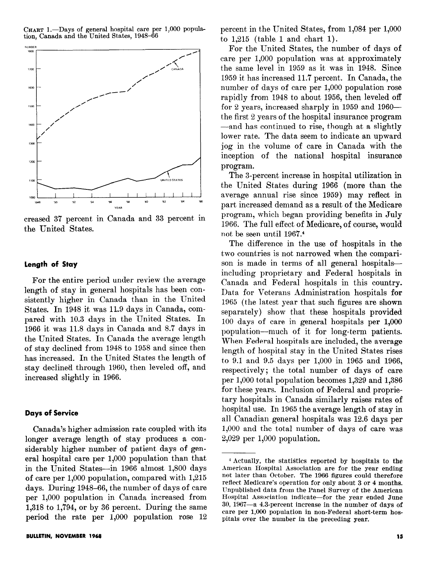CHART 1.-Days of general hospital care per 1,000 population, Canada and the United States, 1948-66



creased 3'7 percent in Canada and 33 percent in the United States.

## Length of Stay

For the entire period under review the average length of stay in general hospitals has been consistently higher in Canada than in the United States. In 1948 it was 11.9 days in Canada, compared with 10.3 days in the United States. In 1966 it was 11.8 days in Canada and 8.7 days in the United States. In Canada the average length of stay declined from 1948 to 1958 and since then has increased. In the United States the length of stay declined through 1960, then leveled off, and increased slightly in 1966.

#### Days of Service

Canada's higher admission rate coupled with its longer average length of stay produces a considerably higher number of patient days of general hospital care per 1,000 population than that in the United States-in 1966 almost 1,800 days of care per 1,000 population, compared with 1,215 days. During 1948-66, the number of days of care per 1,000 population in Canada increased from **1.318 to 1.794, or by 36 percent.** During the same period the rate per 1,000 population rose 12 percent in the United States, from 1,084 per 1,000 to 1,215 (table 1 and chart 1).

For the United States, the number of days of care per 1,000 population was at approximately the same level in 1959 as it was in 1948. Since 1959 it has increased 11.7 percent. In Canada, the number of days of care per 1,000 population rose rapidly from 1948 to about 1956, then leveled off for 2 years, increased sharply in 1959 and  $1960$ the first 2 years of the hospital insurance program -and has continued to rise, though at a slightly lower rate. The data seem to indicate an upward jog in the volume of care in Canada with the inception of the national hospital insurance program.

The 3-percent increase in hospital utilization in the United States during 1966 (more than the average annual rise since 1959) may reflect in part increased demand as a result of the Medicare program, which began providing benefits in July 1966. The full effect of Medicare, of course, would not be seen until 1967.4

The difference in the use of hospitals in the two countries is not narrowed when the comparison is made in terms of all general hospitalsincluding proprietary and Federal hospitals in Canada and Federal hospitals in this country. Data for Veterans Administration hospitals for 1965 (the latest year that such figures are shown separately) show that these hospitals provided 100 days of care in general hospitals per 1,000 population-much of it for long-term patients. When Federal hospitals are included, the average length of hospital stay in the United States rises to 9.1 and 9.5 days per 1,000 in 1965 and 1966, respectively; the total number of days of care per 1,000 total population becomes 1,329 and 1,386 for these years. Inclusion of Federal and proprietary hospitals in Canada similarly raises rates of hospital use. In 1965 the average length of stay in all Canadian general hospitals was 12.6 days per  $1,000$  and the total number of days of care was 2,029 per 1,000 population.

<sup>-1</sup> Actually, the statistics reported by hospitals to the American Hospital Association are for the year ending not later than October. The 1966 figures could therefore reflect Medicare's operation for only about 3 or 4 months. IJnpublished data from the Panel Survey of the American Hospital Association indicate-for the year ended June 30, 1967-a 4.3-percent increase in the number of days of care per 1,000 population in non-Federal short-term hospitals over the number in the preceding year.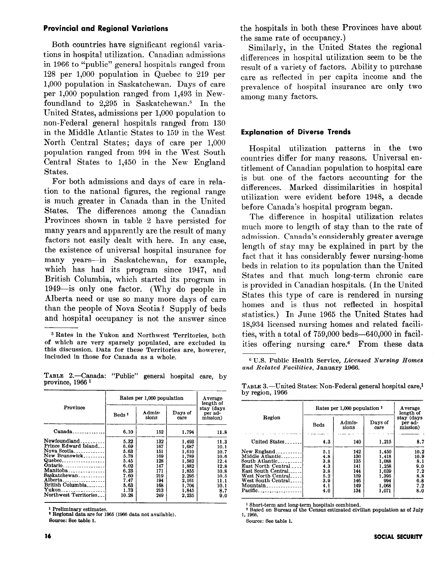## Provincial and Regional Variations

Both countries have significant regional variations in hospital utilization. Canadian admissions in 1966 to "public" general hospitals ranged from 128 per 1,000 population in Quebec to 219 per 1,000 population in Saskatchewan. Days of care per 1,000 population ranged from 1,493 in Newfoundland to  $2.295$  in Saskatchewan.<sup>5</sup> In the United States, admissions per 1,000 population to non-Federal general hospitals ranged from 130 in the Middle Atlantic States to 159 in the West North Cemral States; days of care per 1,000 population ranged from 994 in the West South Central States to 1,450 in the New England States.

For both admissions and days of care in relation to the national figures, the regional range is much greater in Canada than in the United States. The differences among the Canadian Provinces shown in table 2 have persisted for many years and apparently are the result of many factors not easily dealt with here. In any case, the existence of universal hospital insurance for many years-in Saskatchewan, for example, which has had its program since 1947, and British Columbia, which started its program in 1949-is only one factor. (Why do people in Alberta need or use so many more days of care than the people of Nova Scotia? Supply of beds and hospital occupancy is not the answer since

TABLE 2.-Canada: "Public" general hospital care, by province, 1966 l -

|                                                                                                                                                                                                                                                                                                                                                                                                                                                                                                                                                        |                   | Rates per 1,000 population |                 |                                                |  |  |
|--------------------------------------------------------------------------------------------------------------------------------------------------------------------------------------------------------------------------------------------------------------------------------------------------------------------------------------------------------------------------------------------------------------------------------------------------------------------------------------------------------------------------------------------------------|-------------------|----------------------------|-----------------|------------------------------------------------|--|--|
| Province                                                                                                                                                                                                                                                                                                                                                                                                                                                                                                                                               | Beds <sup>2</sup> | Admis-<br>sions            | Days of<br>care | length of<br>stay (days<br>per ad-<br>mission) |  |  |
| $Canada$ <sub>1</sub> , $1$ <sub>1</sub> , $1$ <sub>1</sub> , $1$ <sub>1</sub> , $1$ <sub>1</sub> , $1$ <sub>1</sub> , $1$ <sub>1</sub> , $1$ <sub>1</sub> , $1$ <sub>1</sub> , $1$ <sub>1</sub> , $1$ <sub>1</sub> , $1$ <sub>1</sub> , $1$ <sub>1</sub> , $1$ <sub>1</sub> , $1$ <sub>1</sub> , $1$ <sub>1</sub> , $1$ <sub>1</sub> , $1$ <sub>1</sub> , $1$ <sub>1</sub> , $1$ <sub>1</sub> , $1$ <sub>1</sub> , $1$ <sub>1</sub> , $1$ <sub>1</sub> , $1$ <sub>1</sub> , $1$ <sub>1</sub> , $1$ <sub>1</sub> , $1$ <sub>1</sub> , $1$ <sub>1</sub> | 6.10              | 152                        | 1.794           | 11.8                                           |  |  |
| Newfoundland.                                                                                                                                                                                                                                                                                                                                                                                                                                                                                                                                          | 5.32              | 132                        | 1,493           | 11.3                                           |  |  |
| Prince Edward Island<br>Nova Scotia                                                                                                                                                                                                                                                                                                                                                                                                                                                                                                                    | 6.69<br>5.63      | 167<br>151                 | 1.687<br>1.610  | 10.1<br>10.7                                   |  |  |
| New Brunswick                                                                                                                                                                                                                                                                                                                                                                                                                                                                                                                                          | 5.78              | 169                        | 1.789           | 10.6                                           |  |  |
| Quebec                                                                                                                                                                                                                                                                                                                                                                                                                                                                                                                                                 | 5.45              | 128                        | 1.582           | 12.4                                           |  |  |
| Ontario                                                                                                                                                                                                                                                                                                                                                                                                                                                                                                                                                | 6.02              | 147                        | 1,882           | 12.8                                           |  |  |
|                                                                                                                                                                                                                                                                                                                                                                                                                                                                                                                                                        | 6.23              | 171                        | 1.855           | 10.8                                           |  |  |
| Saskatchewan                                                                                                                                                                                                                                                                                                                                                                                                                                                                                                                                           | 7.60              | 219                        | 2.295           | 10.5                                           |  |  |
| Alberta.<br>.                                                                                                                                                                                                                                                                                                                                                                                                                                                                                                                                          | 7.47              | 194                        | 2.161           | 11.1                                           |  |  |
| British Columbia                                                                                                                                                                                                                                                                                                                                                                                                                                                                                                                                       | 5.63              | 168                        | 1.704           | 10.1                                           |  |  |
| Northwest Territories                                                                                                                                                                                                                                                                                                                                                                                                                                                                                                                                  | 1.73              | 213                        | 1.845           | 8.7                                            |  |  |
|                                                                                                                                                                                                                                                                                                                                                                                                                                                                                                                                                        | 10.28             | 249                        | 2.235           | 9.0                                            |  |  |

 $\overline{1}$ 

' Preliminary estimates. \* Regional data are for 1966 (1966 data not available).

Source: See table 1.

the hospitals in both these Provinces have about the same rate of occupancy.)

Similarly, in the United States the regional differences in hospital utilization seem to be the result of a variety of factors. Ability to purchase care as reflected in per capita income and the prevalence of hospital insurance are only two among many factors.

## Explanation of Diverse Trends

Hospital utilization patterns in the two countries differ for many reasons. Universal entitlement of Canadian population to hospital care is but one of the factors accounting for the differences. Marked dissimilarities in hospital utilization were evident before 1948, a decade before Canada's hospital program began.

The difference in hospital utilization relates much more to length of stay than to the rate of admission. Canada's considerably greater average length of stay may be explained in part by the fact that it has considerably fewer nursing-home beds in relation to its population than the United States and that much long-term chronic care is provided in Canadian hospitals. (In the United States this type of care is rendered in nursing homes and is thus not reflected in hospital statistics.) In June 1965 the United States had 18,934 licensed nursing homes and related facilities, with a total of  $759,000$  beds-640,000 in facilities offering nursing care.<sup>6</sup> From these data

<sup>6</sup> U.S. Public Health Service, Licensed Nursing Homes and Related Facilities, January 1966.

| by region, 1966 | TABLE 3.—United States: Non-Federal general hospital care, <sup>1</sup> |         |
|-----------------|-------------------------------------------------------------------------|---------|
|                 | Rates per 1,000 population <sup>2</sup>                                 | Average |

|                                                                                                                                                                     | Rates per 1,000 population <sup>2</sup>                     | <b>Average</b><br>length of                                 |                                                                             |                                                               |
|---------------------------------------------------------------------------------------------------------------------------------------------------------------------|-------------------------------------------------------------|-------------------------------------------------------------|-----------------------------------------------------------------------------|---------------------------------------------------------------|
| Region                                                                                                                                                              | Beds                                                        | Admis-<br>sions                                             | <b>Days of</b><br>care                                                      | stay (days<br>per ad-<br>mission)                             |
| United States.                                                                                                                                                      | 4.3                                                         | 140                                                         | 1,215                                                                       | 8.7                                                           |
| New England<br>Middle Atlantic<br>South Atlantic<br>East North Central<br>East South Central<br>West North Central<br>West South Central<br>$M$ ountain<br>Pacific. | 5.1<br>4.8<br>3.8<br>4.3<br>3.8<br>5.2<br>3.9<br>4.1<br>4.0 | 142<br>130<br>135<br>141<br>144<br>159<br>146<br>149<br>134 | 1,450<br>1,418<br>1,088<br>1,258<br>1.039<br>1.395<br>994<br>1,068<br>1,071 | 10.2<br>10.9<br>8.1<br>9.0<br>7.2<br>8.8<br>6.8<br>7.2<br>8.0 |

1 Short-term and long-term hospitals combined. 2 Based on Bureau of the Census estimated civilian population as of July 1, 1966.

Source: See table 1.

<sup>5</sup> Rates in the Yukon and Northwest Territories, both of which are very sparsely populated, are excluded in this discussion. Data for these Territories are, however, included in those for Canada as a whole.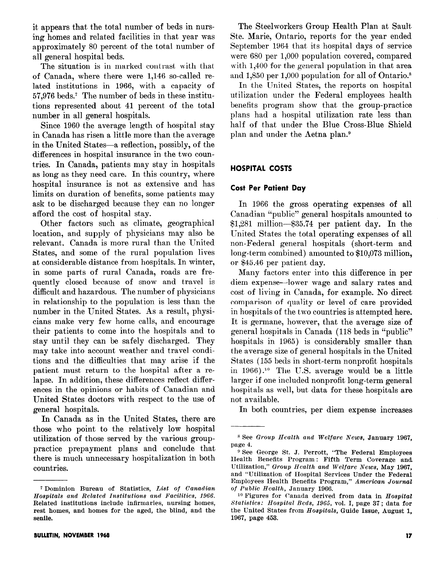it appears that the total number of beds in nursing homes and related facilities in that year was approximately 80 percent of the total number of all general hospital beds.

The situation is in marked contrast with that of Canada, where there were 1,146 so-called related institutions in 1966, with a capacity of 57,976 beds.? The number of beds in these institutions represented about 41 percent of the total number in all general hospitals.

Since 1960 the average length of hospital stay in Canada has risen a little more than the average in the United States-a reflection, possibly, of the differences in hospital insurance in the two countries. In Canada, patients may stay in hospitals as long as they need care. In this country, where hospital insurance is not as extensive and has limits on duration of benefits, some patients may ask to be discharged because they can no longer afford the cost of hospital stay.

Other factors such as climate, geographical location, and supply of physicians may also be relevant. Canada is more rural than the United States, and some of the rural population lives at considerable distance from hospitals. In winter, in some parts of rural Canada, roads are frequently closed because of snow and travel is difficult and hazardous. The number of physicians in relationship to the population is less than the number in the United States. As a result, physicians make very few home calls, and encourage their patients to come into the hospitals and to stay until they can be safely discharged. They may take into account weather and travel conditions and the difficulties that may arise if the patient must return to the hospital after a relapse. In addition, these differences reflect differences in the opinions or habits of Canadian and United States doctors with respect to the use of general hospitals.

In Canada as in the United States, there are those who point to the relatively low hospital utilization of those served by the various grouppractice prepayment plans and conclude that there is much unnecessary hospitalization in both countries.

The Steelworkers Group Health Plan at Sault Ste. Marie, Ontario, reports for the year ended September 1964 that its hospital days of service were 680 per 1,000 population covered, compared with  $1,400$  for the general population in that area and 1,850 per 1,000 population for all of Ontario.<sup>8</sup>

In the United States, the reports on hospital utilization under the Federal employees health benefits program show that the group-practice plans had a hospital utilization rate less than half of that under the Blue Cross-Blue Shield plan and under the Aetna plan.<sup>9</sup>

## HOSPITAL COSTS

## Cost Per Patient Day

In 1966 the gross operating expenses of all Canadian "public" general hospitals amounted to \$1,281 million-\$35.74 per patient day. In the United States the total operating expenses of all non-Federal general hospitals (short-term and long-term combined) amounted to \$10,073 million, or \$45.46 per patient day.

Many factors enter into this difference in per diem expense-lower wage and salary rates and cost of living in Canada, for example. No direct comparison of quality or level of care provided in hospitals of the two countries is attempted here. It is germane, however, that the average size of general hospitals in Canada (118 beds in "public" hospitals in 1965) is considerably smaller than the average size of general hospitals in the United States (155 beds in short-term nonprofit hospitals in  $1966$ ).<sup>10</sup> The U.S. average would be a little larger if one included nonprofit long-term general hospitals as well, but data for these hospitals are not available.

In both countries, per diem expense increases

<sup>&</sup>lt;sup>7</sup> Dominion Bureau of Statistics, List of Canadian Hospitals and Related Institutions and Facilities, 1966. Related institutions include infirmaries, nursing homes, rest homes, and homes for the aged, the blind, and the senile.

<sup>8</sup> See Group Health and Welfare News, January 1967, page 4.

<sup>9</sup> See George St. J. Perrott, "The Federal Employees Health Benefits Program : Fifth Term Coverage and Utilization," Group Health and Welfare News, May 1967, and "Utilization of Hospital Services Under the Federal Employees Health Benefits Program," American Journal of Public Health, January 1966.

<sup>10</sup> Figures for Canada derived from data in Hospital Statistics: Hospitul Beds, 1965, vol. I, page 37; data for the United States from Hospitals, Guide Issue, August 1, 1967, page 453.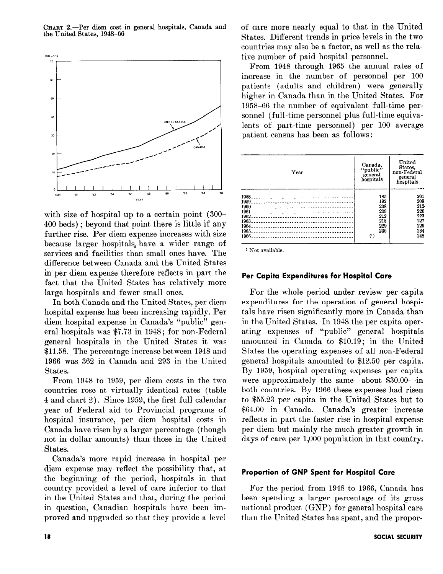CHART 2.-Per diem cost in general hospitals, Canada and the United States, 1948-66



with size of hospital up to a certain point (300- 400 beds) ; beyond that point there is little if any further rise. Per diem expense increases with size because larger hospitals, have a wider range of services and facilities than small ones have. The difference between Canada and the United States in per diem expense therefore reflects in part the fact that the United States has relatively more large hospitals and fewer small ones.

In both Canada and the United States, per diem hospital expense has been increasing rapidly. Per diem hospital expense in Canada's "public" general hospitals was \$7.73 in 1948 ; for non-Federal general hospitals in the United States it was \$11.58. The percentage increase between 1948 and 1966 was 362 in Canada and 293 in the United States.

From 1948 to 1959, per diem costs in the two countries rose at virtually identical rates (table 4 and chart 2). Since 1959, the first full calendar year of Federal aid to Provincial programs of hospital insurance, per diem hospital costs in Canada have risen by a larger percentage (though not in dollar amounts) than those in the United States.

Canada's more rapid increase in hospital per diem expense may reflect the possibility that, at the beginning of the period, hospitals in that country provided a level of care inferior to that in the United States and that, during the period in question, Canadian hospitals have been improved and upgraded so that they provide a level

of care more nearly equal to that in the United States. Different trends in price levels in the two countries may also be a factor, as well as the relative number of paid hospital personnel.

From 1948 through 1965 the annual rates of increase in the number of personnel per 100 patients (adults and children) were generally higher in Canada than in the United States. For 1958-66 the number of equivalent full-time personnel (full-time personnel plus full-time equivalents of part-time personnel) per 100 average patient census has been as follows:



1 Not available.

## Per Capita Expenditures for Hospital Care

For the whole period under review per capita expenditures for the operation of general hospitals have risen significantly more in Canada than in the United States. In 1948 the per capita operating expenses of "public" general hospitals amounted in Canada to \$10.19; in the United States the operating expenses of all non-Federal general hospitals amounted to \$12.50 per capita. By 1959, hospital operating expenses per capita were approximately the same-about \$30.00-in both countries. By 1966 these expenses had risen to \$55.23 per capita in the United States but to \$64.00 in Canada. Canada's greater increase reflects in part the faster rise in hospital expense per diem but mainly the much greater growth in days of care per 1,000 population in that country.

#### Proportion of GNP Spent for Hospital Care

For the period from 1948 to 1966, Canada has been spending a larger percentage of its gross national product (GNP) for general hospital care than the United States has spent, and the propor-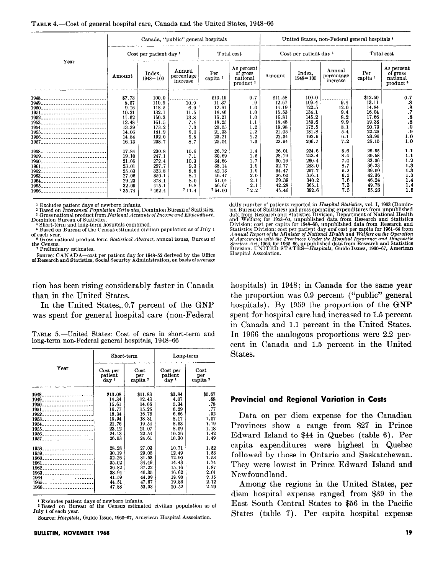|                                                                                                                                 | Canada, "public" general hospitals                                                             |                                                                                                 |                                                                        |                                                                                                   |                                                                          | United States, non-Federal general hospitals <sup>4</sup>                                         |                                                                                                 |                                                                     |                                                                                                   |                                                                      |
|---------------------------------------------------------------------------------------------------------------------------------|------------------------------------------------------------------------------------------------|-------------------------------------------------------------------------------------------------|------------------------------------------------------------------------|---------------------------------------------------------------------------------------------------|--------------------------------------------------------------------------|---------------------------------------------------------------------------------------------------|-------------------------------------------------------------------------------------------------|---------------------------------------------------------------------|---------------------------------------------------------------------------------------------------|----------------------------------------------------------------------|
|                                                                                                                                 | Cost per patient day 1                                                                         |                                                                                                 | Total cost                                                             |                                                                                                   | Cost per patient day 1                                                   |                                                                                                   |                                                                                                 | Total cost                                                          |                                                                                                   |                                                                      |
| Year                                                                                                                            | Amount                                                                                         | Index,<br>$1948 = 100$                                                                          | Annual<br>percentage<br>increase                                       | Per<br>capita ?                                                                                   | As percent<br>of gross<br>national<br>product <sup>3</sup>               | Amount                                                                                            | Index,<br>$1948 = 100$                                                                          | Annual<br>percentage<br>increase                                    | Per<br>capita <sup>5</sup>                                                                        | As percent<br>of gross<br>national<br>product <sup>6</sup>           |
| 1950<br>1951<br>1952<br>1953<br>1955<br>1956<br>1957                                                                            | \$7.73<br>8.57<br>9.16<br>10.21<br>11.62<br>12.48<br>13.39<br>14.06<br>14.84<br>16.13<br>17.84 | 100.0<br>110.9<br>118.5<br>132.1<br>150.3<br>161.5<br>173.2<br>181.9<br>192.0<br>208.7<br>230.8 | 10.9<br>6.9<br>11.5<br>13.8<br>7.4<br>7.3<br>5.0<br>5.5<br>8.7<br>10.6 | \$10.19<br>11.37<br>12.61<br>14.46<br>16.21<br>18.25<br>20.05<br>21.33<br>23.21<br>25.04<br>26.72 | 0.7<br>.9<br>1.0<br>1.0<br>1.0<br>1.1<br>1.2<br>1.2<br>1.2<br>1.3<br>1.4 | \$11.58<br>12.67<br>14.19<br>15.53<br>16.81<br>18.48<br>19.98<br>21.05<br>22.34<br>23.94<br>26.01 | 100.0<br>109.4<br>122.5<br>134.1<br>145.2<br>159.6<br>172.5<br>181.8<br>192.9<br>206.7<br>224.6 | 9.4<br>12.0<br>9.4<br>8.2<br>9.9<br>8.1<br>5.4<br>6.1<br>7.2<br>8.6 | \$12.50<br>13.11<br>14.84<br>16.04<br>17.66<br>19.38<br>20.73<br>22.25<br>23.96<br>26.10<br>28.55 | 0.7<br>$\frac{8}{8}$<br>. 7<br>8.<br>8.9<br>9.9<br>1.0<br>1.0<br>1.1 |
| 1958______________________________<br>1959<br>1960<br>1961<br>1962<br>1963<br>1964<br>1965<br>1966_____________________________ | 19.10<br>21.06<br>23.01<br>25.03<br>27.06<br>29.23<br>32.09<br>135.74                          | 247.1<br>272.4<br>297.7<br>323.8<br>350.1<br>378.1<br>415.1<br>7462.4                           | 7.1<br>10.3<br>9.3<br>8.8<br>8.1<br>8.0<br>9.8<br>711.4                | 30.69<br>34.66<br>38.14<br>42.13<br>46.47<br>51.04<br>56.67<br>764.00                             | 1.5<br>1.7<br>1.9<br>1.9<br>2.0<br>2.1<br>2.1<br>72.2                    | 28.19<br>30.16<br>32.77<br>34.47<br>36.60<br>39.39<br>42.28<br>45.46                              | 243.4<br>260.4<br>283.0<br>297.7<br>316.1<br>340.2<br>365.1<br>392.6                            | 8.4<br>7.0<br>8.7<br>5.2<br>6.2<br>7.6<br>7.3<br>7.5                | 30.58<br>33.06<br>36.23<br>39.09<br>42.36<br>46.24<br>49.78<br>55.23                              | 1.1<br>1.2<br>1.3<br>1.3<br>1.3<br>1.4<br>1.4<br>1.5                 |

<sup>1</sup> Excludes patient days of newborn infants.<br><sup>2</sup> Based on *Intercensal Population Estimates*, Dominion Bureau of Statistics<br><sup>3</sup> Gross national product from *National Accounts of Income and Expenditure*<br>Dominion Bureau of

4 Short-term and long-term hospitals combined. 5 Based on Bureau of the Census estimated civilian population as of July 1 of each year.

Gross national product form Statistical Abstract, annual issues, Bureau of the Census. ' Preliminary estimates.

Source: CANADA-cost per patient day for 1948-52 derived by the Office of Research and Statistics, Social Security Administration, on basis of average

tion has been rising considerably faster in Canada than in the United States.

In the United States, 0.7 percent of the GNP was spent for general hospital care (non-Federal

|  |                                                  |  |  | TABLE 5.—United States: Cost of care in short-term and |  |
|--|--------------------------------------------------|--|--|--------------------------------------------------------|--|
|  | long-term non-Federal general hospitals, 1948–66 |  |  |                                                        |  |

|                             | $_{\rm Short-term}$                     |                                    | Long-term                               |                                    |  |
|-----------------------------|-----------------------------------------|------------------------------------|-----------------------------------------|------------------------------------|--|
| Year                        | Cost per<br>patient<br>day <sup>1</sup> | Cost<br>per<br>capita <sup>2</sup> | Cost per<br>patient<br>day <sup>1</sup> | Cost<br>per<br>capita <sup>2</sup> |  |
| $1948$                      | \$13.08                                 | \$11.83                            | \$3.84                                  | \$0.67                             |  |
|                             | 14.34                                   | 12.43                              | 4.07                                    | .68                                |  |
| 1950                        | 15.61                                   | 14.06                              | 5.34                                    | .78                                |  |
| 1951                        | 16.77                                   | 15.26                              | 6.29                                    | .77                                |  |
| 1952                        | 18.34                                   | 16.75                              | 6.66                                    | .92                                |  |
|                             | 19.94                                   | 18.31                              | 8.17                                    | 1.07                               |  |
|                             | 21.76                                   | 19.54                              | 8.53                                    | 1.19                               |  |
|                             | 23.12                                   | 21.07                              | 8.09                                    | 1.18                               |  |
| 1956_______________________ | 24.13                                   | 22.54                              | 10.26                                   | 1.42                               |  |
|                             | 26.03                                   | 24.61                              | 10.30                                   | 1.49                               |  |
|                             | 28.28                                   | 27.03                              | 10.71                                   | 1.52                               |  |
|                             | 30.19                                   | 29.05                              | 12.49                                   | 1.53                               |  |
| 1960                        | 32.26                                   | 31.53                              | 12.90                                   | 1.53                               |  |
| 1961                        | 35.02                                   | 34.49                              | 14.43                                   | 1.74                               |  |
| 1962                        | 36.82                                   | 37.22                              | 15.16                                   | 1.87                               |  |
|                             | 38.94                                   | 40.35                              | 16.62                                   | 2.01                               |  |
|                             | 41.59                                   | 44.09                              | 18.90                                   | 2.15                               |  |
|                             | 44.51                                   | 47.67                              | 19.86                                   | 2.12                               |  |
| $1966$ $-22222222222$       | 47.88                                   | 53.03                              | 20.52                                   | 2.20                               |  |

Excludes patient days of newborn infants.

Source: Hospitals, Guide Issue, 1960-67, American Hospital Association.

daily number of patients reported in Hospital Etatistics, vol. I, 1963 (Domin-<br>ion Bureau of Statistics) and gross operating expenditures from unpublished<br>data from Research and Statistics Division, Department of National Statistics Division; cost per patient day and cost per capita for 1961–64 from<br>Annual Report of the Minister of National Health and Welfare on the Operation<br>of Agreements with the Provinces Under the Hospital Insurance and Hospital Association.

hospitals) in 1948; in Canada for the same year the proportion was 0.9 percent ("public" general hospitals). By 1959 the proportion of the GNP spent for hospital care had increased to 1.5 percent in Canada and 1.1 percent in the United States. In 1966 the analogous proportions were 2.2 percent in Canada and 1.5 percent in the United States.

#### Provincial and Regional Variation in Costs

Data on per diem expense for the Canadian Provinces show a range from \$27 in Prince Edward Island to \$44 in Quebec (table 6). Per capita expenditures were highest in Quebec followed by those in Ontario and Saskatchewan. They were lowest in Prince Edward Island and Newfoundland.

Among the regions in the United States, per diem hospital expense ranged from \$39 in the East South Central States to \$56 in the Pacific States (table 7). Per capita hospital expense

<sup>2</sup> Based on Bureau of the Census estimated civilian population as of July 1 of each year.